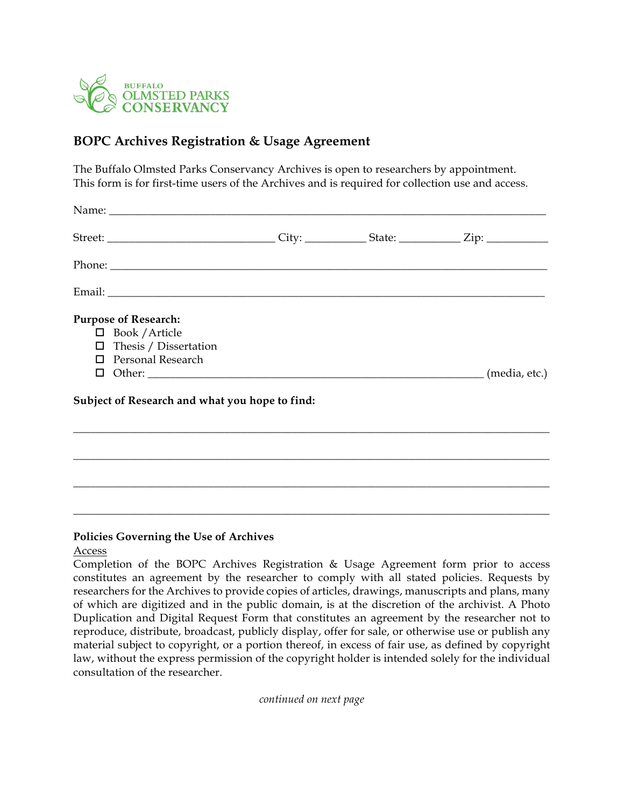

## **BOPC Archives Registration & Usage Agreement**

The Buffalo Olmsted Parks Conservancy Archives is open to researchers by appointment. This form is for first-time users of the Archives and is required for collection use and access.

| <b>Purpose of Research:</b><br>$\Box$ Book / Article<br>$\Box$ Thesis / Dissertation<br>$\Box$ Personal Research |  |  |
|------------------------------------------------------------------------------------------------------------------|--|--|
| Subject of Research and what you hope to find:                                                                   |  |  |
|                                                                                                                  |  |  |
|                                                                                                                  |  |  |
|                                                                                                                  |  |  |

## **Policies Governing the Use of Archives**

## Access

Completion of the BOPC Archives Registration & Usage Agreement form prior to access constitutes an agreement by the researcher to comply with all stated policies. Requests by researchers for the Archives to provide copies of articles, drawings, manuscripts and plans, many of which are digitized and in the public domain, is at the discretion of the archivist. A Photo Duplication and Digital Request Form that constitutes an agreement by the researcher not to reproduce, distribute, broadcast, publicly display, offer for sale, or otherwise use or publish any material subject to copyright, or a portion thereof, in excess of fair use, as defined by copyright law, without the express permission of the copyright holder is intended solely for the individual consultation of the researcher.

\_\_\_\_\_\_\_\_\_\_\_\_\_\_\_\_\_\_\_\_\_\_\_\_\_\_\_\_\_\_\_\_\_\_\_\_\_\_\_\_\_\_\_\_\_\_\_\_\_\_\_\_\_\_\_\_\_\_\_\_\_\_\_\_\_\_\_\_\_\_\_\_\_\_\_\_\_\_\_\_\_\_\_\_\_

*continued on next page*